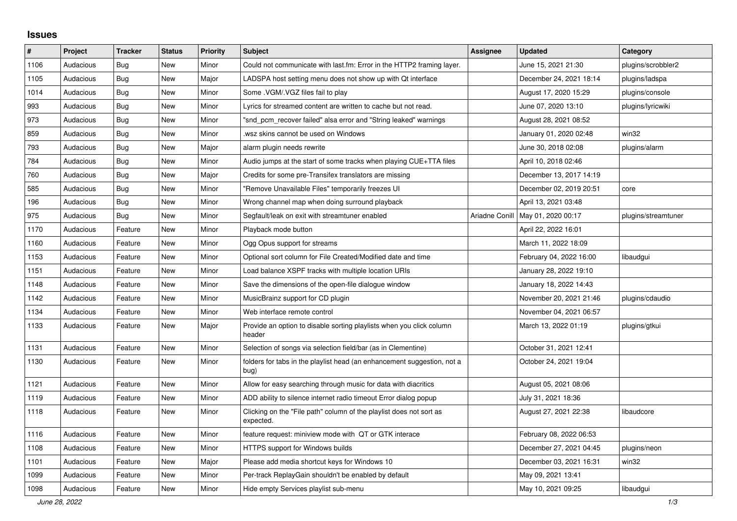## **Issues**

| #    | Project   | <b>Tracker</b> | <b>Status</b> | <b>Priority</b> | <b>Subject</b>                                                                   | <b>Assignee</b> | <b>Updated</b>          | Category            |
|------|-----------|----------------|---------------|-----------------|----------------------------------------------------------------------------------|-----------------|-------------------------|---------------------|
| 1106 | Audacious | Bug            | New           | Minor           | Could not communicate with last.fm: Error in the HTTP2 framing layer.            |                 | June 15, 2021 21:30     | plugins/scrobbler2  |
| 1105 | Audacious | Bug            | New           | Major           | LADSPA host setting menu does not show up with Qt interface                      |                 | December 24, 2021 18:14 | plugins/ladspa      |
| 1014 | Audacious | <b>Bug</b>     | <b>New</b>    | Minor           | Some .VGM/.VGZ files fail to play                                                |                 | August 17, 2020 15:29   | plugins/console     |
| 993  | Audacious | Bug            | New           | Minor           | Lyrics for streamed content are written to cache but not read.                   |                 | June 07, 2020 13:10     | plugins/lyricwiki   |
| 973  | Audacious | <b>Bug</b>     | <b>New</b>    | Minor           | "snd pcm recover failed" alsa error and "String leaked" warnings                 |                 | August 28, 2021 08:52   |                     |
| 859  | Audacious | <b>Bug</b>     | <b>New</b>    | Minor           | wsz skins cannot be used on Windows                                              |                 | January 01, 2020 02:48  | win32               |
| 793  | Audacious | <b>Bug</b>     | New           | Major           | alarm plugin needs rewrite                                                       |                 | June 30, 2018 02:08     | plugins/alarm       |
| 784  | Audacious | Bug            | New           | Minor           | Audio jumps at the start of some tracks when playing CUE+TTA files               |                 | April 10, 2018 02:46    |                     |
| 760  | Audacious | Bug            | <b>New</b>    | Major           | Credits for some pre-Transifex translators are missing                           |                 | December 13, 2017 14:19 |                     |
| 585  | Audacious | <b>Bug</b>     | <b>New</b>    | Minor           | "Remove Unavailable Files" temporarily freezes UI                                |                 | December 02, 2019 20:51 | core                |
| 196  | Audacious | Bug            | New           | Minor           | Wrong channel map when doing surround playback                                   |                 | April 13, 2021 03:48    |                     |
| 975  | Audacious | <b>Bug</b>     | <b>New</b>    | Minor           | Segfault/leak on exit with streamtuner enabled                                   | Ariadne Conill  | May 01, 2020 00:17      | plugins/streamtuner |
| 1170 | Audacious | Feature        | <b>New</b>    | Minor           | Playback mode button                                                             |                 | April 22, 2022 16:01    |                     |
| 1160 | Audacious | Feature        | New           | Minor           | Ogg Opus support for streams                                                     |                 | March 11, 2022 18:09    |                     |
| 1153 | Audacious | Feature        | <b>New</b>    | Minor           | Optional sort column for File Created/Modified date and time                     |                 | February 04, 2022 16:00 | libaudgui           |
| 1151 | Audacious | Feature        | New           | Minor           | Load balance XSPF tracks with multiple location URIs                             |                 | January 28, 2022 19:10  |                     |
| 1148 | Audacious | Feature        | New           | Minor           | Save the dimensions of the open-file dialogue window                             |                 | January 18, 2022 14:43  |                     |
| 1142 | Audacious | Feature        | New           | Minor           | MusicBrainz support for CD plugin                                                |                 | November 20, 2021 21:46 | plugins/cdaudio     |
| 1134 | Audacious | Feature        | New           | Minor           | Web interface remote control                                                     |                 | November 04, 2021 06:57 |                     |
| 1133 | Audacious | Feature        | New           | Major           | Provide an option to disable sorting playlists when you click column<br>header   |                 | March 13, 2022 01:19    | plugins/gtkui       |
| 1131 | Audacious | Feature        | <b>New</b>    | Minor           | Selection of songs via selection field/bar (as in Clementine)                    |                 | October 31, 2021 12:41  |                     |
| 1130 | Audacious | Feature        | New           | Minor           | folders for tabs in the playlist head (an enhancement suggestion, not a<br>bug)  |                 | October 24, 2021 19:04  |                     |
| 1121 | Audacious | Feature        | New           | Minor           | Allow for easy searching through music for data with diacritics                  |                 | August 05, 2021 08:06   |                     |
| 1119 | Audacious | Feature        | New           | Minor           | ADD ability to silence internet radio timeout Error dialog popup                 |                 | July 31, 2021 18:36     |                     |
| 1118 | Audacious | Feature        | New           | Minor           | Clicking on the "File path" column of the playlist does not sort as<br>expected. |                 | August 27, 2021 22:38   | libaudcore          |
| 1116 | Audacious | Feature        | New           | Minor           | feature request: miniview mode with QT or GTK interace                           |                 | February 08, 2022 06:53 |                     |
| 1108 | Audacious | Feature        | New           | Minor           | HTTPS support for Windows builds                                                 |                 | December 27, 2021 04:45 | plugins/neon        |
| 1101 | Audacious | Feature        | New           | Major           | Please add media shortcut keys for Windows 10                                    |                 | December 03, 2021 16:31 | win32               |
| 1099 | Audacious | Feature        | New           | Minor           | Per-track ReplayGain shouldn't be enabled by default                             |                 | May 09, 2021 13:41      |                     |
| 1098 | Audacious | Feature        | New           | Minor           | Hide empty Services playlist sub-menu                                            |                 | May 10, 2021 09:25      | libaudgui           |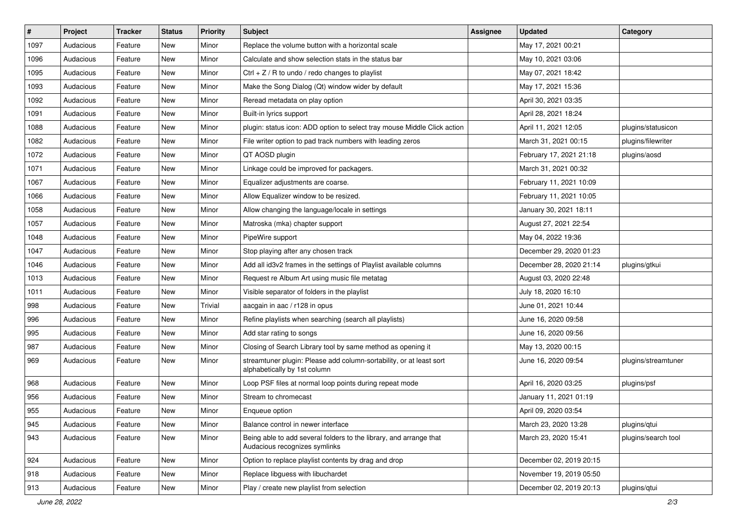| $\#$ | Project   | <b>Tracker</b> | <b>Status</b> | <b>Priority</b> | <b>Subject</b>                                                                                      | <b>Assignee</b> | <b>Updated</b>          | Category            |
|------|-----------|----------------|---------------|-----------------|-----------------------------------------------------------------------------------------------------|-----------------|-------------------------|---------------------|
| 1097 | Audacious | Feature        | New           | Minor           | Replace the volume button with a horizontal scale                                                   |                 | May 17, 2021 00:21      |                     |
| 1096 | Audacious | Feature        | New           | Minor           | Calculate and show selection stats in the status bar                                                |                 | May 10, 2021 03:06      |                     |
| 1095 | Audacious | Feature        | New           | Minor           | Ctrl $+$ Z / R to undo / redo changes to playlist                                                   |                 | May 07, 2021 18:42      |                     |
| 1093 | Audacious | Feature        | New           | Minor           | Make the Song Dialog (Qt) window wider by default                                                   |                 | May 17, 2021 15:36      |                     |
| 1092 | Audacious | Feature        | New           | Minor           | Reread metadata on play option                                                                      |                 | April 30, 2021 03:35    |                     |
| 1091 | Audacious | Feature        | New           | Minor           | Built-in lyrics support                                                                             |                 | April 28, 2021 18:24    |                     |
| 1088 | Audacious | Feature        | New           | Minor           | plugin: status icon: ADD option to select tray mouse Middle Click action                            |                 | April 11, 2021 12:05    | plugins/statusicon  |
| 1082 | Audacious | Feature        | New           | Minor           | File writer option to pad track numbers with leading zeros                                          |                 | March 31, 2021 00:15    | plugins/filewriter  |
| 1072 | Audacious | Feature        | New           | Minor           | QT AOSD plugin                                                                                      |                 | February 17, 2021 21:18 | plugins/aosd        |
| 1071 | Audacious | Feature        | New           | Minor           | Linkage could be improved for packagers.                                                            |                 | March 31, 2021 00:32    |                     |
| 1067 | Audacious | Feature        | New           | Minor           | Equalizer adjustments are coarse.                                                                   |                 | February 11, 2021 10:09 |                     |
| 1066 | Audacious | Feature        | New           | Minor           | Allow Equalizer window to be resized.                                                               |                 | February 11, 2021 10:05 |                     |
| 1058 | Audacious | Feature        | New           | Minor           | Allow changing the language/locale in settings                                                      |                 | January 30, 2021 18:11  |                     |
| 1057 | Audacious | Feature        | New           | Minor           | Matroska (mka) chapter support                                                                      |                 | August 27, 2021 22:54   |                     |
| 1048 | Audacious | Feature        | New           | Minor           | PipeWire support                                                                                    |                 | May 04, 2022 19:36      |                     |
| 1047 | Audacious | Feature        | New           | Minor           | Stop playing after any chosen track                                                                 |                 | December 29, 2020 01:23 |                     |
| 1046 | Audacious | Feature        | New           | Minor           | Add all id3v2 frames in the settings of Playlist available columns                                  |                 | December 28, 2020 21:14 | plugins/gtkui       |
| 1013 | Audacious | Feature        | New           | Minor           | Request re Album Art using music file metatag                                                       |                 | August 03, 2020 22:48   |                     |
| 1011 | Audacious | Feature        | New           | Minor           | Visible separator of folders in the playlist                                                        |                 | July 18, 2020 16:10     |                     |
| 998  | Audacious | Feature        | New           | Trivial         | aacgain in aac / r128 in opus                                                                       |                 | June 01, 2021 10:44     |                     |
| 996  | Audacious | Feature        | New           | Minor           | Refine playlists when searching (search all playlists)                                              |                 | June 16, 2020 09:58     |                     |
| 995  | Audacious | Feature        | New           | Minor           | Add star rating to songs                                                                            |                 | June 16, 2020 09:56     |                     |
| 987  | Audacious | Feature        | New           | Minor           | Closing of Search Library tool by same method as opening it                                         |                 | May 13, 2020 00:15      |                     |
| 969  | Audacious | Feature        | New           | Minor           | streamtuner plugin: Please add column-sortability, or at least sort<br>alphabetically by 1st column |                 | June 16, 2020 09:54     | plugins/streamtuner |
| 968  | Audacious | Feature        | New           | Minor           | Loop PSF files at normal loop points during repeat mode                                             |                 | April 16, 2020 03:25    | plugins/psf         |
| 956  | Audacious | Feature        | New           | Minor           | Stream to chromecast                                                                                |                 | January 11, 2021 01:19  |                     |
| 955  | Audacious | Feature        | New           | Minor           | Enqueue option                                                                                      |                 | April 09, 2020 03:54    |                     |
| 945  | Audacious | Feature        | New           | Minor           | Balance control in newer interface                                                                  |                 | March 23, 2020 13:28    | plugins/qtui        |
| 943  | Audacious | Feature        | New           | Minor           | Being able to add several folders to the library, and arrange that<br>Audacious recognizes symlinks |                 | March 23, 2020 15:41    | plugins/search tool |
| 924  | Audacious | Feature        | New           | Minor           | Option to replace playlist contents by drag and drop                                                |                 | December 02, 2019 20:15 |                     |
| 918  | Audacious | Feature        | New           | Minor           | Replace libguess with libuchardet                                                                   |                 | November 19, 2019 05:50 |                     |
| 913  | Audacious | Feature        | New           | Minor           | Play / create new playlist from selection                                                           |                 | December 02, 2019 20:13 | plugins/gtui        |